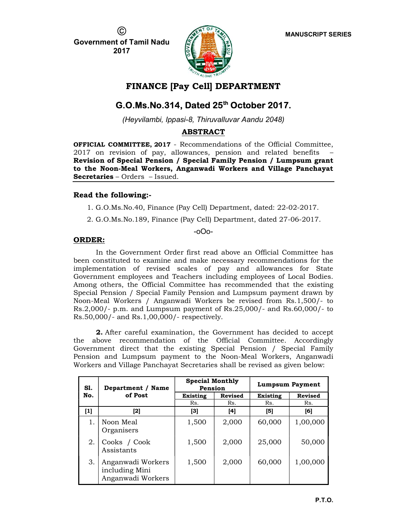$\odot$ 

MANUSCRIPT SERIES

Government of Tamil Nadu 2017



## FINANCE [Pay Cell] DEPARTMENT

# G.O.Ms.No.314, Dated 25th October 2017.

(Heyvilambi, Ippasi-8, Thiruvalluvar Aandu 2048)

### ABSTRACT

OFFICIAL COMMITTEE, 2017 - Recommendations of the Official Committee, 2017 on revision of pay, allowances, pension and related benefits – Revision of Special Pension / Special Family Pension / Lumpsum grant to the Noon-Meal Workers, Anganwadi Workers and Village Panchayat Secretaries – Orders – Issued.

### Read the following:-

1. G.O.Ms.No.40, Finance (Pay Cell) Department, dated: 22-02-2017.

2. G.O.Ms.No.189, Finance (Pay Cell) Department, dated 27-06-2017.

-oOo-

### ORDER:

In the Government Order first read above an Official Committee has been constituted to examine and make necessary recommendations for the implementation of revised scales of pay and allowances for State Government employees and Teachers including employees of Local Bodies. Among others, the Official Committee has recommended that the existing Special Pension / Special Family Pension and Lumpsum payment drawn by Noon-Meal Workers / Anganwadi Workers be revised from Rs.1,500/- to Rs.2,000/- p.m. and Lumpsum payment of Rs.25,000/- and Rs.60,000/- to Rs.50,000/- and Rs.1,00,000/- respectively.

2. After careful examination, the Government has decided to accept the above recommendation of the Official Committee. Accordingly Government direct that the existing Special Pension / Special Family Pension and Lumpsum payment to the Noon-Meal Workers, Anganwadi Workers and Village Panchayat Secretaries shall be revised as given below:

| S1. | Department / Name                                        | <b>Special Monthly</b><br>Pension |                | <b>Lumpsum Payment</b> |                |
|-----|----------------------------------------------------------|-----------------------------------|----------------|------------------------|----------------|
| No. | of Post                                                  | <b>Existing</b>                   | <b>Revised</b> | <b>Existing</b>        | <b>Revised</b> |
|     |                                                          | Rs.                               | Rs.            | Rs.                    | Rs.            |
| [1] | [2]                                                      | [3]                               | [4]            | [5]                    | [6]            |
| 1.  | Noon Meal<br>Organisers                                  | 1,500                             | 2,000          | 60,000                 | 1,00,000       |
| 2.  | Cooks / Cook<br>Assistants                               | 1,500                             | 2,000          | 25,000                 | 50,000         |
| 3.  | Anganwadi Workers<br>including Mini<br>Anganwadi Workers | 1,500                             | 2,000          | 60,000                 | 1,00,000       |